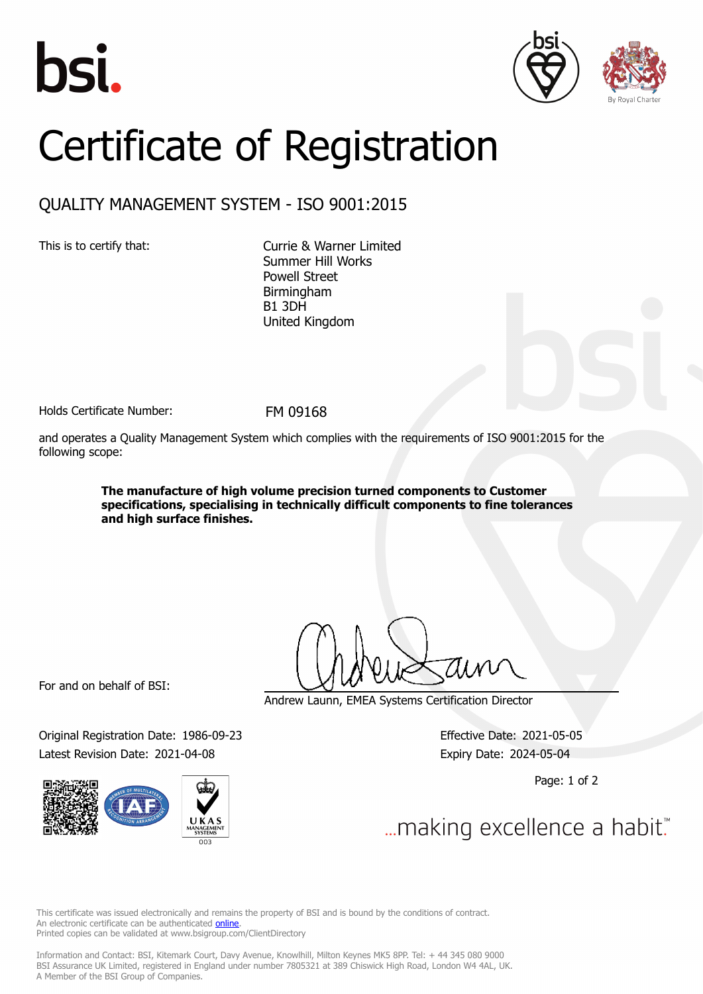





## Certificate of Registration

## QUALITY MANAGEMENT SYSTEM - ISO 9001:2015

This is to certify that: Currie & Warner Limited Summer Hill Works Powell Street Birmingham B1 3DH United Kingdom

Holds Certificate Number: FM 09168

and operates a Quality Management System which complies with the requirements of ISO 9001:2015 for the following scope:

> **The manufacture of high volume precision turned components to Customer specifications, specialising in technically difficult components to fine tolerances and high surface finishes.**

For and on behalf of BSI:

Original Registration Date: 1986-09-23 Effective Date: 2021-05-05 Latest Revision Date: 2021-04-08 Expiry Date: 2024-05-04



Andrew Launn, EMEA Systems Certification Director

Page: 1 of 2

... making excellence a habit."

This certificate was issued electronically and remains the property of BSI and is bound by the conditions of contract. An electronic certificate can be authenticated **[online](https://pgplus.bsigroup.com/CertificateValidation/CertificateValidator.aspx?CertificateNumber=FM+09168&ReIssueDate=08%2f04%2f2021&Template=uk)**. Printed copies can be validated at www.bsigroup.com/ClientDirectory

Information and Contact: BSI, Kitemark Court, Davy Avenue, Knowlhill, Milton Keynes MK5 8PP. Tel: + 44 345 080 9000 BSI Assurance UK Limited, registered in England under number 7805321 at 389 Chiswick High Road, London W4 4AL, UK. A Member of the BSI Group of Companies.